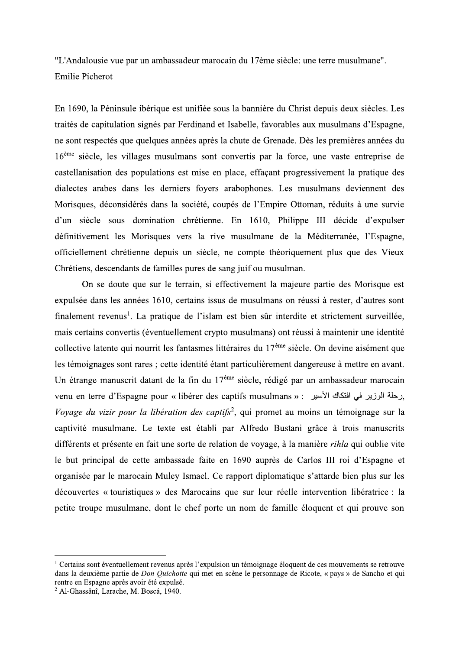"L'Andalousie vue par un ambassadeur marocain du 17ème siècle: une terre musulmane". **Emilie Picherot** 

En 1690, la Péninsule ibérique est unifiée sous la bannière du Christ depuis deux siècles. Les traités de capitulation signés par Ferdinand et Isabelle, favorables aux musulmans d'Espagne, ne sont respectés que quelques années après la chute de Grenade. Dès les premières années du 16<sup>ème</sup> siècle, les villages musulmans sont convertis par la force, une vaste entreprise de castellanisation des populations est mise en place, effaçant progressivement la pratique des dialectes arabes dans les derniers foyers arabophones. Les musulmans deviennent des Morisques, déconsidérés dans la société, coupés de l'Empire Ottoman, réduits à une survie d'un siècle sous domination chrétienne. En 1610, Philippe III décide d'expulser définitivement les Morisques vers la rive musulmane de la Méditerranée, l'Espagne, officiellement chrétienne depuis un siècle, ne compte théoriquement plus que des Vieux Chrétiens, descendants de familles pures de sang juif ou musulman.

On se doute que sur le terrain, si effectivement la majeure partie des Morisque est expulsée dans les années 1610, certains issus de musulmans on réussi à rester, d'autres sont finalement revenus<sup>1</sup>. La pratique de l'islam est bien sûr interdite et strictement surveillée, mais certains convertis (éventuellement crypto musulmans) ont réussi à maintenir une identité collective latente qui nourrit les fantasmes littéraires du 17<sup>ème</sup> siècle. On devine aisément que les témoignages sont rares ; cette identité étant particulièrement dangereuse à mettre en avant. Un étrange manuscrit datant de la fin du  $17^{\text{eme}}$  siècle, rédigé par un ambassadeur marocain yenu en terre d'Espagne pour « libérer des captifs musulmans » : رحلة الوزير في افتكاك الأسير , Voyage du vizir pour la libération des captifs<sup>2</sup>, qui promet au moins un témoignage sur la captivité musulmane. Le texte est établi par Alfredo Bustani grâce à trois manuscrits différents et présente en fait une sorte de relation de voyage, à la manière *rihla* qui oublie vite le but principal de cette ambassade faite en 1690 auprès de Carlos III roi d'Espagne et organisée par le marocain Muley Ismael. Ce rapport diplomatique s'attarde bien plus sur les découvertes « touristiques » des Marocains que sur leur réelle intervention libératrice : la petite troupe musulmane, dont le chef porte un nom de famille éloquent et qui prouve son

 $1$  Certains sont éventuellement revenus après l'expulsion un témoignage éloquent de ces mouvements se retrouve dans la deuxième partie de *Don Quichotte* qui met en scène le personnage de Ricote, « pays » de Sancho et qui rentre en Espagne après avoir été expulsé.

<sup>&</sup>lt;sup>2</sup> Al-Ghassânî, Larache, M. Boscá, 1940.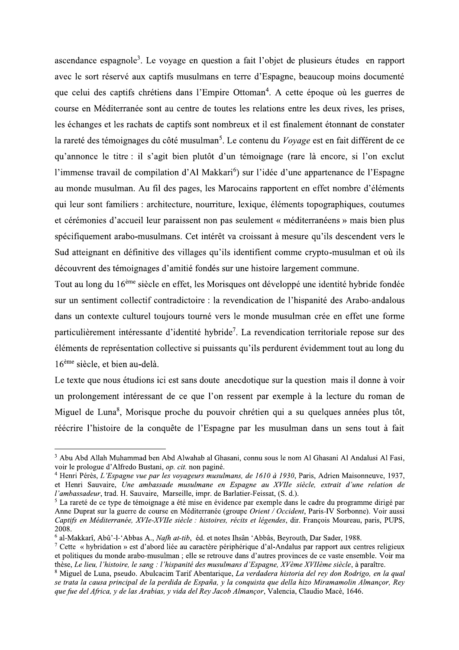ascendance espagnole<sup>3</sup>. Le voyage en question a fait l'objet de plusieurs études en rapport avec le sort réservé aux captifs musulmans en terre d'Espagne, beaucoup moins documenté que celui des captifs chrétiens dans l'Empire Ottoman<sup>4</sup>. A cette époque où les guerres de course en Méditerranée sont au centre de toutes les relations entre les deux rives, les prises, les échanges et les rachats de captifs sont nombreux et il est finalement étonnant de constater la rareté des témoignages du côté musulman<sup>5</sup>. Le contenu du *Voyage* est en fait différent de ce qu'annonce le titre : il s'agit bien plutôt d'un témoignage (rare là encore, si l'on exclut l'immense travail de compilation d'Al Makkari<sup>6</sup>) sur l'idée d'une appartenance de l'Espagne au monde musulman. Au fil des pages, les Marocains rapportent en effet nombre d'éléments qui leur sont familiers : architecture, nourriture, lexique, éléments topographiques, coutumes et cérémonies d'accueil leur paraissent non pas seulement « méditerranéens » mais bien plus spécifiquement arabo-musulmans. Cet intérêt va croissant à mesure qu'ils descendent vers le Sud atteignant en définitive des villages qu'ils identifient comme crypto-musulman et où ils découvrent des témoignages d'amitié fondés sur une histoire largement commune.

Tout au long du 16<sup>ème</sup> siècle en effet, les Morisques ont développé une identité hybride fondée sur un sentiment collectif contradictoire : la revendication de l'hispanité des Arabo-andalous dans un contexte culturel toujours tourné vers le monde musulman crée en effet une forme particulièrement intéressante d'identité hybride<sup>7</sup>. La revendication territoriale repose sur des éléments de représentation collective si puissants qu'ils perdurent évidemment tout au long du  $16<sup>eme</sup>$  siècle, et bien au-delà.

Le texte que nous étudions ici est sans doute anecdotique sur la question mais il donne à voir un prolongement intéressant de ce que l'on ressent par exemple à la lecture du roman de Miguel de Luna<sup>8</sup>, Morisque proche du pouvoir chrétien qui a su quelques années plus tôt, réécrire l'histoire de la conquête de l'Espagne par les musulman dans un sens tout à fait

<sup>&</sup>lt;sup>3</sup> Abu Abd Allah Muhammad ben Abd Alwahab al Ghasani, connu sous le nom Al Ghasani Al Andalusi Al Fasi, voir le prologue d'Alfredo Bustani, op. cit. non paginé.

<sup>&</sup>lt;sup>4</sup> Henri Pérès, L'Espagne vue par les voyageurs musulmans, de 1610 à 1930, Paris, Adrien Maisonneuve, 1937, et Henri Sauvaire, Une ambassade musulmane en Espagne au XVIIe siècle, extrait d'une relation de l'ambassadeur, trad. H. Sauvaire, Marseille, impr. de Barlatier-Feissat, (S. d.).

<sup>&</sup>lt;sup>5</sup> La rareté de ce type de témoignage a été mise en évidence par exemple dans le cadre du programme dirigé par Anne Duprat sur la guerre de course en Méditerranée (groupe Orient / Occident, Paris-IV Sorbonne). Voir aussi Captifs en Méditerranée, XVIe-XVIIe siècle : histoires, récits et légendes, dir. François Moureau, paris, PUPS, 2008.

 $6$  al-Makkarî, Abû'-l-'Abbas A., Nafh at-tib. éd. et notes Ihsân 'Abbâs, Bevrouth, Dar Sader, 1988.

<sup>&</sup>lt;sup>7</sup> Cette « hybridation » est d'abord liée au caractère périphérique d'al-Andalus par rapport aux centres religieux et politiques du monde arabo-musulman ; elle se retrouve dans d'autres provinces de ce vaste ensemble. Voir ma thèse, Le lieu, l'histoire, le sang : l'hispanité des musulmans d'Espagne, XVème XVIIème siècle, à paraître.

<sup>8</sup> Miguel de Luna, pseudo. Abulcacim Tarif Abentarique, La verdadera historia del rey don Rodrigo, en la qual se trata la causa principal de la perdida de España, y la conquista que della hizo Miramamolin Almançor, Rey que fue del Africa, y de las Arabias, y vida del Rey Jacob Almançor, Valencia, Claudio Macè, 1646.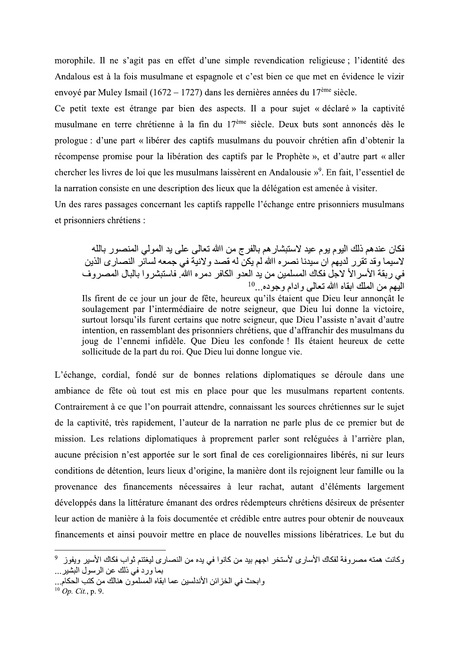morophile. Il ne s'agit pas en effet d'une simple revendication religieuse ; l'identité des Andalous est à la fois musulmane et espagnole et c'est bien ce que met en évidence le vizir envoyé par Muley Ismail (1672 – 1727) dans les dernières années du 17<sup>ème</sup> siècle.

Ce petit texte est étrange par bien des aspects. Il a pour sujet « déclaré » la captivité musulmane en terre chrétienne à la fin du 17<sup>ème</sup> siècle. Deux buts sont annoncés dès le prologue : d'une part « libérer des captifs musulmans du pouvoir chrétien afin d'obtenir la récompense promise pour la libération des captifs par le Prophète », et d'autre part « aller chercher les livres de loi que les musulmans laissèrent en Andalousie »<sup>9</sup>. En fait, l'essentiel de la narration consiste en une description des lieux que la délégation est amenée à visiter.

Un des rares passages concernant les captifs rappelle l'échange entre prisonniers musulmans et prisonniers chrétiens :

فكان عندهم ذلك اليوم يوم عيد لاستبشار هم بالفرج من اﷲ تعالى على يد المولى المنصور بالله لاسيما وقد تقرر لديهم ان سيدنا نصر ه اﷲ لم يكن له قصد و لانية في جمعه لسائر النصار ي الذين في ربقة الأسر الأ لاجل فكاك المسلمين من يد العدو الكافر دمره اﷲ فاستبشروا بالبال المصروف النَّبِهِم من الملك ابقاه االله تعالى و ادام و جو ده...<sup>10</sup>

Ils firent de ce jour un jour de fête, heureux qu'ils étaient que Dieu leur annonçât le soulagement par l'intermédiaire de notre seigneur, que Dieu lui donne la victoire, surtout lorsqu'ils furent certains que notre seigneur, que Dieu l'assiste n'avait d'autre intention, en rassemblant des prisonniers chrétiens, que d'affranchir des musulmans du joug de l'ennemi infidèle. Que Dieu les confonde ! Ils étaient heureux de cette sollicitude de la part du roi. Que Dieu lui donne longue vie.

L'échange, cordial, fondé sur de bonnes relations diplomatiques se déroule dans une ambiance de fête où tout est mis en place pour que les musulmans repartent contents. Contrairement à ce que l'on pourrait attendre, connaissant les sources chrétiennes sur le sujet de la captivité, très rapidement, l'auteur de la narration ne parle plus de ce premier but de mission. Les relations diplomatiques à proprement parler sont reléguées à l'arrière plan, aucune précision n'est apportée sur le sort final de ces coreligionnaires libérés, ni sur leurs conditions de détention, leurs lieux d'origine, la manière dont ils rejoignent leur famille ou la provenance des financements nécessaires à leur rachat, autant d'éléments largement développés dans la littérature émanant des ordres rédempteurs chrétiens désireux de présenter leur action de manière à la fois documentée et crédible entre autres pour obtenir de nouveaux financements et ainsi pouvoir mettre en place de nouvelles missions libératrices. Le but du

وكانت همته مصروفة لفكاك الأساري لأستخر اجهم بيد من كانوا في يده من النصاري ليغتنم ثواب فكاك الأسير ويفوز <sup>9</sup> بما ورد في ذلك عن الرسول البشير ...

<sup>،</sup> ابحث في الخز ائن الأندلسين عما ابقاه المسلمون هنالك من كتب الحكام...

 $^{10}$  Op. Cit., p. 9.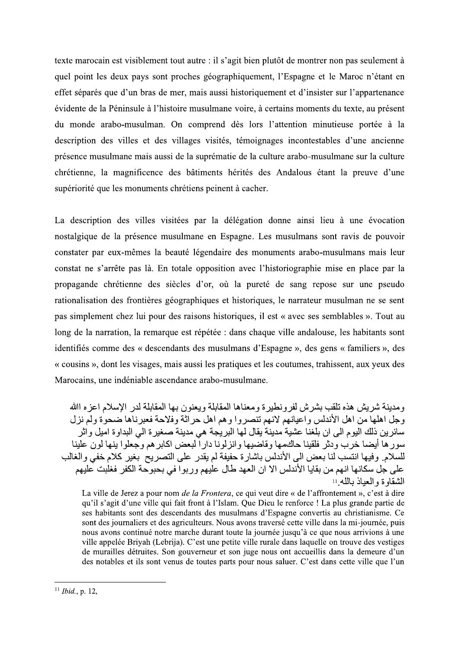texte marocain est visiblement texte marocain est visiblement tout autre : il s'agit bien plutôt de montrer non pas seulement à quel point les deux pays sont proches géographiquement, l'Espagne et le Maroc n'étant en effet séparés que d'un bras de mer, s moments du texte, au present du monde arabo-musulman. On comprend texte marocain est visiblement tout autre : il s'agit bien plutôt de montrer non pas seulement à<br>
quel point les deux pays sont proches géographiquement, l'Espagne et le Maroc n'étant en<br>
effet séparés que d'un bras de mer ce musulmane mais aussi de la suprematie de la culture arabo-musulmane sur la culture chretienne, la magnificence des batiments herites des Andalous etant la preuve d'une superiorite que les monuments chretiens peinent a cacher.

La description des villes visitées par la délégation donne ainsi lieu à une évocation nostalgique de la presence musulmane en Espagne. Les musulmans sont ravis de pouvoir constater par eux-memes la beaute legendaire des monuments arabo-musulmans supériorité que les monuments chrétiens peinent à cacher.<br>La description des villes visitées par la délégation donne ainsi lieu à une évocation<br>nostalgique de la présence musulmane en Espagne. Les musulmans sont ravis de p constat ne s'arrête pas là. En totale opposition avec l'historiographie mise en place par la propagande chrétienne des siècles d'or, où la pureté de sang repose sur une pseudo cription des villes visitées par la délégation donne ainsi lieu à une é<br>que de la présence musulmane en Espagne. Les musulmans sont ravis de<br>er par eux-mêmes la beauté légendaire des monuments arabo-musulmans n<br>ne s'arrête rationalisation des frontieres geographiques et historiques, le narrateur musulman ne se sent pas simplement chez lui pour des raisons historiques, il est « avec ses semblables ». Tout au long de la narration, la remarque est repètée : dans chaque ville andalouse, les habitants sont identifies comme des « descendants des musulmans d'Espagne », des gens « familiers », des nstat ne s'arrête pas là. En totale opposition avec l'historiographie mis<br>pagande chrétienne des siècles d'or, où la pureté de sang repose<br>ionalisation des frontières géographiques et historiques, le narrateur mus<br>s simpl « cousins », dont les visages, mais aussi les pratiques et les coutumes, trahissent, aux yeux des Marocains, une indeniable ascendance arabo-musulmane.

و مدينة شر بش هذه تلقب بشر ش لفر و نطير ة و معناها المقابلة و بعنو ن بها المقابلة لدر الإسلام اعز ه اﷲ وجل اهلها من اهل الأندلس واعيانهم لانهم تنصروا وهم اهل حراثة وفلاحة فعبرناها ضحوة ولم نزل سائر بن ذلك اليو م الى ان بلغنا عشية مدينة يقال لها البر يجة هي مدينة صغير ة الى البداو ة اميل و اثر سورها أيضـا خرب ودثر فلقينا حاكمها وقاضيها وانزلونـا دار اً لبعض اكابر هم وجعلو ا ينـها لون علينـا للسلام وفيها انتسب لنا بعض الى الأندلس باشارة حفيفة لم يقدر على التصريح بغير كلام خفى والغالب على جل سكانها انهم من بقايا الأندلس الا ان العهد طال عليهم و ربو ا في بحبو حة الكفر فغلبت عليهم الشقاوة والعباذ بالله !!

La ville de Jerez a pour nom *de la Frontera*, ce qui veut dire « de l'affrontement », c'est à dire qu'il s'agit d'une ville qui fait front à l'Islam. Que Dieu le renforce ! La plus grande partie de وَّجُّلَ الْعَالَمِينَ الْمَاسِمِينَ الْمَاسِمِينَ الْمَاسِمِينَ الْمَاسِمِينَ وَالَّهِ وَالْكُلُّ الْمَاسِمِينَ مِنْ الْمَاسِمِينَ وَالْكُلُّ الْمَاسِمِينَ وَالْكُلُّ الْمَاسِمِينَ وَالْكُلُّ الْمَاسِمِينَ وَالْكُلُّ الْ سائزين ذلك اليوم التي أن بلغطا عشليه مدينه وهال لها البريجة هي مدينه صعيرة التي البداوة اميل وارز على التي الخ<br>سور ها أيضا خرب ودئثر فلقينا حالتهمها و قاضيتها و الزالونا دار البعض اكابر هم وجعلوا بنيها لون ع<br>سلطائم . البد t des journaliers et des agriculteurs. Nous avons traversé cette ville dans la mi-journé للسلام, وفيها انتسب لذا بعض الى الأندلس باشارة حفيفة لم يقدر على النصريح بغير كلام خفي و الغالب La ville de Jerez a pour nom *de la Frontera*, ce qui veut dire « de l'affrontement », c'est à dire qui l'il s'agit d'un de La ville de Jerez a pour nom *de la Frontera*, ce qui veut dire « de l'affrontement », c'est à dire qu'il s'agit d'une ville qui fait front à l'Islam. Que Dieu le renforce ! La plus grande partie de ses habitants sont des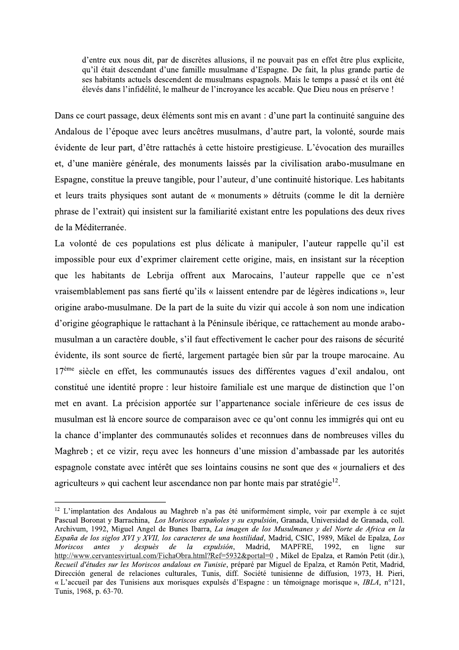d'entre eux nous dit, par de discrètes allusions, il ne pouvait pas en effet être plus explicite, qu'il était descendant d'une famille musulmane d'Espagne. De fait, la plus grande partie de ses habitants actuels descendent de musulmans espagnols. Mais le temps a passé et ils ont été élevés dans l'infidélité, le malheur de l'incroyance les accable. Que Dieu nous en préserve !

Dans ce court passage, deux éléments sont mis en avant : d'une part la continuité sanguine des Andalous de l'époque avec leurs ancêtres musulmans, d'autre part, la volonté, sourde mais évidente de leur part, d'être rattachés à cette histoire prestigieuse. L'évocation des murailles et, d'une manière générale, des monuments laissés par la civilisation arabo-musulmane en Espagne, constitue la preuve tangible, pour l'auteur, d'une continuité historique. Les habitants et leurs traits physiques sont autant de « monuments » détruits (comme le dit la dernière phrase de l'extrait) qui insistent sur la familiarité existant entre les populations des deux rives de la Méditerranée.

La volonté de ces populations est plus délicate à manipuler, l'auteur rappelle qu'il est impossible pour eux d'exprimer clairement cette origine, mais, en insistant sur la réception que les habitants de Lebrija offrent aux Marocains, l'auteur rappelle que ce n'est vraisemblablement pas sans fierté qu'ils « laissent entendre par de légères indications », leur origine arabo-musulmane. De la part de la suite du vizir qui accole à son nom une indication d'origine géographique le rattachant à la Péninsule ibérique, ce rattachement au monde arabomusulman a un caractère double, s'il faut effectivement le cacher pour des raisons de sécurité évidente, ils sont source de fierté, largement partagée bien sûr par la troupe marocaine. Au 17<sup>ème</sup> siècle en effet, les communautés issues des différentes vagues d'exil andalou, ont constitué une identité propre : leur histoire familiale est une marque de distinction que l'on met en avant. La précision apportée sur l'appartenance sociale inférieure de ces issus de musulman est là encore source de comparaison avec ce qu'ont connu les immigrés qui ont eu la chance d'implanter des communautés solides et reconnues dans de nombreuses villes du Maghreb ; et ce vizir, reçu avec les honneurs d'une mission d'ambassade par les autorités espagnole constate avec intérêt que ses lointains cousins ne sont que des « journaliers et des agriculteurs » qui cachent leur ascendance non par honte mais par stratégie<sup>12</sup>.

<sup>&</sup>lt;sup>12</sup> L'implantation des Andalous au Maghreb n'a pas été uniformément simple, voir par exemple à ce sujet Pascual Boronat y Barrachina, Los Moriscos españoles y su expulsión, Granada, Universidad de Granada, coll. Archivum, 1992, Miguel Angel de Bunes Ibarra, La imagen de los Musulmanes y del Norte de Africa en la España de los siglos XVI y XVII, los caracteres de una hostilidad, Madrid, CSIC, 1989, Mikel de Epalza, Los  $de$ la expulsión, Madrid. MAPFRE. 1992. Moriscos antes y despuès en ligne  $_{S11}$ r http://www.cervantesvirtual.com/FichaObra.html?Ref=5932&portal=0, Mikel de Epalza, et Ramón Petit (dir.), Recueil d'études sur les Moriscos andalous en Tunisie, préparé par Miguel de Epalza, et Ramón Petit, Madrid, Dirección general de relaciones culturales, Tunis, diff. Société tunisienne de diffusion, 1973, H. Pieri, « L'accueil par des Tunisiens aux morisques expulsés d'Espagne : un témoignage morisque », IBLA, n°121, Tunis, 1968, p. 63-70.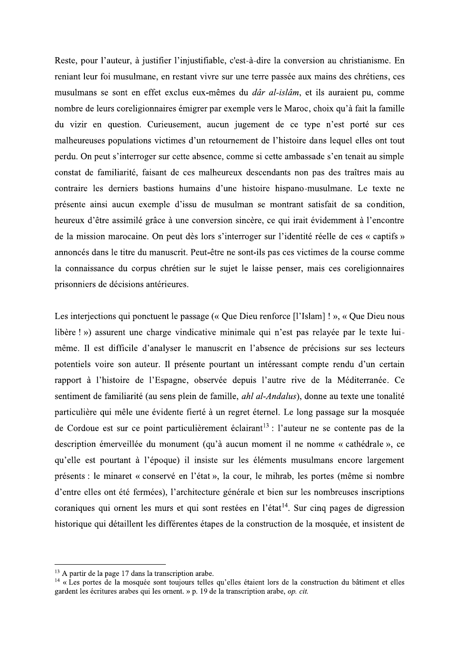Reste, pour l'auteur, à justifier l'injustifiable, c'est-à-dire la conversion au christianisme. En reniant leur foi musulmane, en restant vivre sur une terre passée aux mains des chrétiens, ces musulmans se sont en effet exclus eux-mêmes du *dâr al-islâm*, et ils auraient pu, comme nombre de leurs coreligionnaires émigrer par exemple vers le Maroc, choix qu'à fait la famille du vizir en question. Curieusement, aucun jugement de ce type n'est porté sur ces malheureuses populations victimes d'un retournement de l'histoire dans lequel elles ont tout perdu. On peut s'interroger sur cette absence, comme si cette ambassade s'en tenait au simple constat de familiarité, faisant de ces malheureux descendants non pas des traîtres mais au contraire les derniers bastions humains d'une histoire hispano-musulmane. Le texte ne présente ainsi aucun exemple d'issu de musulman se montrant satisfait de sa condition, heureux d'être assimilé grâce à une conversion sincère, ce qui irait évidemment à l'encontre de la mission marocaine. On peut dès lors s'interroger sur l'identité réelle de ces « captifs » annoncés dans le titre du manuscrit. Peut-être ne sont-ils pas ces victimes de la course comme la connaissance du corpus chrétien sur le sujet le laisse penser, mais ces coreligionnaires prisonniers de décisions antérieures.

Les interjections qui ponctuent le passage (« Que Dieu renforce [l'Islam] ! », « Que Dieu nous libère ! ») assurent une charge vindicative minimale qui n'est pas relayée par le texte luimême. Il est difficile d'analyser le manuscrit en l'absence de précisions sur ses lecteurs potentiels voire son auteur. Il présente pourtant un intéressant compte rendu d'un certain rapport à l'histoire de l'Espagne, observée depuis l'autre rive de la Méditerranée. Ce sentiment de familiarité (au sens plein de famille, *ahl al-Andalus*), donne au texte une tonalité particulière qui mêle une évidente fierté à un regret éternel. Le long passage sur la mosquée de Cordoue est sur ce point particulièrement éclairant<sup>13</sup> : l'auteur ne se contente pas de la description émerveillée du monument (qu'à aucun moment il ne nomme « cathédrale », ce qu'elle est pourtant à l'époque) il insiste sur les éléments musulmans encore largement présents : le minaret « conservé en l'état », la cour, le mihrab, les portes (même si nombre d'entre elles ont été fermées), l'architecture générale et bien sur les nombreuses inscriptions coraniques qui ornent les murs et qui sont restées en l'état<sup>14</sup>. Sur cinq pages de digression historique qui détaillent les différentes étapes de la construction de la mosquée, et insistent de

<sup>&</sup>lt;sup>13</sup> A partir de la page 17 dans la transcription arabe.

<sup>&</sup>lt;sup>14</sup> « Les portes de la mosquée sont toujours telles qu'elles étaient lors de la construction du bâtiment et elles gardent les écritures arabes qui les ornent. » p. 19 de la transcription arabe, op. cit.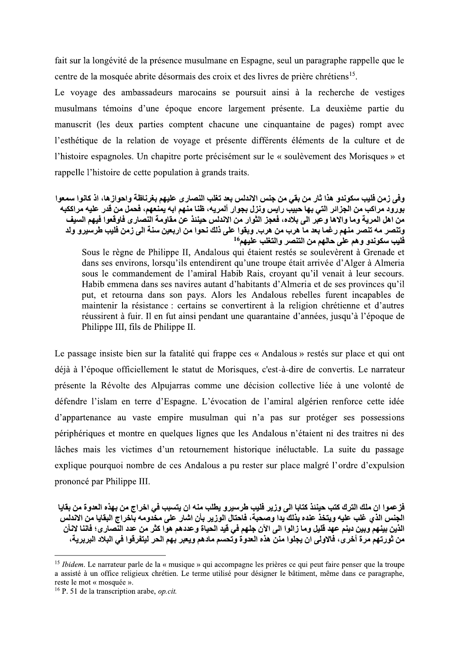fait sur la longévité de la présence musulmane en Espagne, seul un paragraphe rappelle que le centre de la mosquée abrite désormais des croix et des livres de prière chrétiens<sup>15</sup>.

Le voyage des ambassadeurs marocains se poursuit ainsi à la recherche de vestiges musulmans témoins d'une époque encore largement présente. La deuxième partie du manuscrit (les deux parties comptent chacune une cinquantaine de pages) rompt avec l'esthétique de la relation de voyage et présente différents éléments de la culture et de l'histoire espagnoles. Un chapitre porte précisément sur le « soulèvement des Morisques » et rappelle l'histoire de cette population à grands traits.

وفي زمن فليب سكوندو هذا ثار من بقي من جنس الاندلس بعد تغلب النصار ي عليهم بغرناظة واحواز ها، اذ كانوا سمعوا بورود مراكب من الجزائر التي بها حبيب رايس ونزل بجوار ألمريه، ظنا منهم ابه يمنعهم، فحمل من قدر عليه مراككبه من اهل المرية وما والاها وعبر الى بلاده، فعجز الثوار من الاندلس حيننذ عن مقاومة النصارى فاوقعوا فيهم السيف وتنصر مه تنصر منهم رغما بعد ما هرب من هرب. وبقوا على ذلك نحوا من اربعين سنة الى زمن فليب طرسيرو ولد فليب سكوندو وهم على حالهم من التنصر والتغلب عليهم<sup>16</sup>

Sous le règne de Philippe II, Andalous qui étaient restés se soulevèrent à Grenade et dans ses environs, lorsqu'ils entendirent qu'une troupe était arrivée d'Alger à Almeria sous le commandement de l'amiral Habib Rais, croyant qu'il venait à leur secours. Habib emmena dans ses navires autant d'habitants d'Almeria et de ses provinces qu'il put, et retourna dans son pays. Alors les Andalous rebelles furent incapables de maintenir la résistance : certains se convertirent à la religion chrétienne et d'autres réussirent à fuir. Il en fut ainsi pendant une quarantaine d'années, jusqu'à l'époque de Philippe III, fils de Philippe II.

Le passage insiste bien sur la fatalité qui frappe ces « Andalous » restés sur place et qui ont déjà à l'époque officiellement le statut de Morisques, c'est-à-dire de convertis. Le narrateur présente la Révolte des Alpujarras comme une décision collective liée à une volonté de défendre l'islam en terre d'Espagne. L'évocation de l'amiral algérien renforce cette idée d'appartenance au vaste empire musulman qui n'a pas sur protéger ses possessions périphériques et montre en quelques lignes que les Andalous n'étaient ni des traitres ni des lâches mais les victimes d'un retournement historique inéluctable. La suite du passage explique pourquoi nombre de ces Andalous a pu rester sur place malgré l'ordre d'expulsion prononcé par Philippe III.

فز عموا ان ملك الترك كتب حيننذ كتابا الى وزير فليب طرسيرو يطلب منه ان يتسبب في اخراج من بهذه العدوة من بقايا الجنس الذي غلب عليه ويتخذ عنده بذلك بدا وصحبة، فاحتال الوزير بأن اشار على مخدومه بآخراج البقايا من الاندلس الذين بينهم وبين دينم عهد قليل وما زالوا الى الآن جلهم في قيد الحياة وعددهم هوا كثر من عدد النِّصار ي؛ فاننا لانأن من ثورتهم مرة أخرى، فالإولى ان يجلوا منن هذه العدوة وتحسم مادهم ويعبر بهم الحر ليتفرقوا في البلاد البريرية،

<sup>&</sup>lt;sup>15</sup> Ibidem. Le narrateur parle de la « musique » qui accompagne les prières ce qui peut faire penser que la troupe a assisté à un office religieux chrétien. Le terme utilisé pour désigner le bâtiment, même dans ce paragraphe, reste le mot « mosquée ».

 $16$  P. 51 de la transcription arabe, *op.cit.*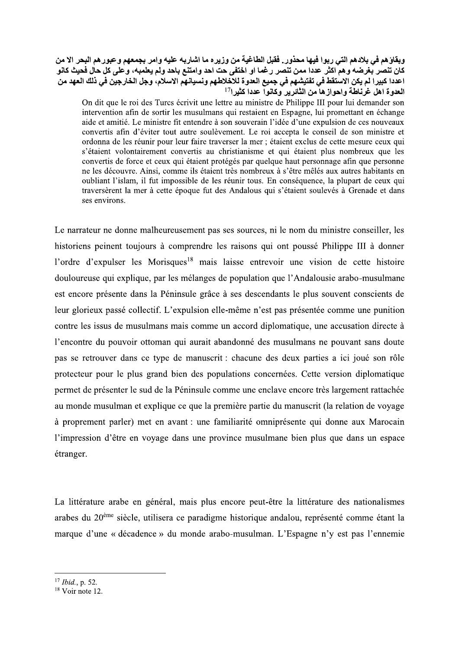## وبعاوهم في بلادهم التي ربوا فيها محدور . فقبل الطاعية من وريزه ما اشاربه عليه وأمر بجمعهم و عبورهم البحر الا من )\*+-0-12 0-3-.4 5%627
08\*9:627;\* B)<)=5 >0 1?-@ 47-A BC" \*
00 D E-?F HI8\*
0)\*"J8 K

.هم التي ربوا فيها محذور . فقبل الطاغية من وزير ه ما اشاربه د<br>ما و هم اكثر عددا ممن تنصر ر غما او اختفى حت احد و امتنع بـا<br>كن الاستقط في تفتيشهم في جميع العدوة للاخلاطهم ونسبانهم الا<br>écrivit une lettre au ministre de Phil ساربه عليه وامر بجمعهم وعبورهم البحر الا من<br>متنع باحد ولم يعلمبه، وعلي كل حال فحيث كانو<br>يانهم الاسلام، وجل الخارجين في ذلك العهد من<br>On dit que le roi des Turcs écrivi<br>intervention afin de sortir les mu<br>aide et amitié. Le , وزيره ما اشاربه عليه وامر بجمعهم وعبورهم البحر الا من<br>مت احد وامتنع باحد ولم يعلمبه، وعلى كل حال فحيث كانو<br>إ<sup>17</sup> المسلم: واستقام الاسلام، وجل الخارجين في ذلك العهد من<br>On dit que le roi des Turcs écrivit une lettre<br>inter وبقاؤهم في بلادهم التي ربوا فيها محذور.<br>كان تنصر بغرضه وهم اكثر عددا ممن تنصر<br>اعددا كبيرا لم يكن الاستقط في تفتيشهم في<br>العدوة اهل غرناطة واحواز ها من الثائرير<br>Philippe III pour lui demander son<br>Espagne, lui promettant en On dit que le roi des Turcs écrivit une lettre au ministre de Philippe III pour lui demander son intervention afin de sortir les musulmans qui restaient en Espagne, lui promettant en échange aide et amitié. Le ministre fit entendre à son souverain l'idée d'une expulsion de ces nouveaux convertis afin d'éviter tout autre soulèvement. Le roi accepta le conseil de son ministre et ordonna de les réunir pour leur faire traverser la mer : étaient exclus de cette mesure ceux qui s'étaient volontairement convertis au christianisme et qui étaient plus nombreux que les convertis de force et ceux qui étaient protégés par quelque haut personnage afin que personne ne les découvre. Ainsi, comme ils étaient très nombreux à s'être mêlés aux autres habitants en oubliant l'islam, il fut impossible de les réunir tous. En conséquence, la plupart de ceux qui traversèrent la mer à cette époque fut des Andalous qui s'étaient soulevés à Grenade et dans ses environs.

Le narrateur ne donne malheureusement pas ses sources, ni le nom du ministre conseiller, les historiens peinent toujours à comprendre les raisons qui ont poussé Philippe III à donner l'ordre d'expulser les Morisques<sup>18</sup> mais laisse entrevoir une vision de cette histoire douloureuse qui explique, par les mélanges de population que l'Andalousie arabo-musulmane est encore présente dans la Péninsule grâce à ses descendants le plus souvent conscients de Teur glorieux passé collectif. L'expulsion elle-même n'est pas présentée comme une punition contre les issus de musulmans mais comme un accord diplomatique, une accusation directe à l'encontre du pouvoir ottoman qui aurait abandonné des musulmans ne pouvant sans doute pas se retrouver dans ce type de manuscrit : chacune des deux parties a ici joué son rôle protecteur pour le plus grand bien des populations concernées. Cette version diplomatique permet de présenter le sud de la Péninsule comme une enclave encore très largement rattachée au monde musulman et explique ce que la première partie du manuscrit (la relation de voyage à proprement parler) met en avant : une familiarité omniprésente qui donne aux Marocain l'impression d'être en vovage dans une province musulmane bien plus que dans un espace étranger.

La littérature arabe en général, mais plus encore peut-être la littérature des nationalismes arabes du  $20^{\text{eme}}$  siècle, utilisera ce paradigme historique andalou, représenté comme étant la marque d'une « décadence » du monde arabo-musulman. L'Espagne n'y est pas l'ennemie

 $^{17}$  *Ibid.*, p. 52.<br><sup>18</sup> Voir note 12.